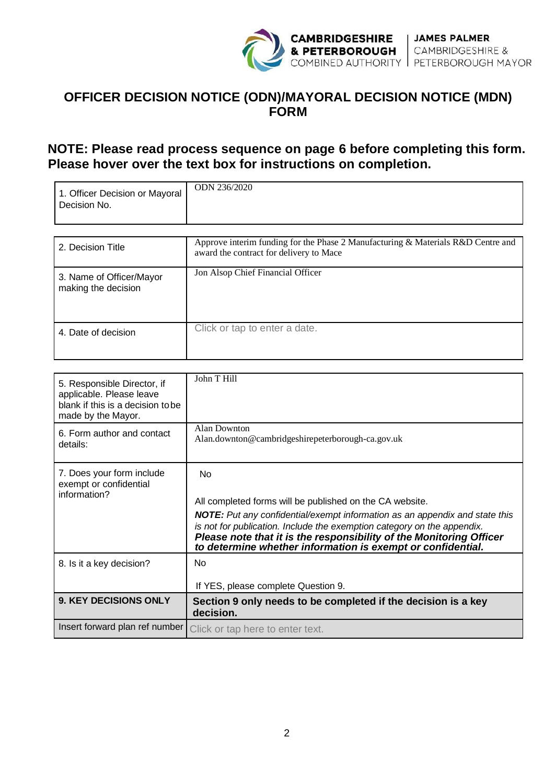

# **OFFICER DECISION NOTICE (ODN)/MAYORAL DECISION NOTICE (MDN) FORM**

# **NOTE: Please read process sequence on page 6 before completing this form. Please hover over the text box for instructions on completion.**

| 1. Officer Decision or Mayoral<br>Decision No.  | ODN 236/2020                                                                                                                |
|-------------------------------------------------|-----------------------------------------------------------------------------------------------------------------------------|
|                                                 |                                                                                                                             |
| 2. Decision Title                               | Approve interim funding for the Phase 2 Manufacturing & Materials R&D Centre and<br>award the contract for delivery to Mace |
| 3. Name of Officer/Mayor<br>making the decision | Jon Alsop Chief Financial Officer                                                                                           |
| 4. Date of decision                             | Click or tap to enter a date.                                                                                               |

| 5. Responsible Director, if<br>applicable. Please leave<br>blank if this is a decision to be<br>made by the Mayor. | John T Hill                                                                                                                                                                                                                                                                                                                                                                       |
|--------------------------------------------------------------------------------------------------------------------|-----------------------------------------------------------------------------------------------------------------------------------------------------------------------------------------------------------------------------------------------------------------------------------------------------------------------------------------------------------------------------------|
| 6. Form author and contact<br>details:                                                                             | <b>Alan Downton</b><br>Alan.downton@cambridgeshirepeterborough-ca.gov.uk                                                                                                                                                                                                                                                                                                          |
| 7. Does your form include<br>exempt or confidential<br>information?                                                | N <sub>o</sub><br>All completed forms will be published on the CA website.<br><b>NOTE:</b> Put any confidential/exempt information as an appendix and state this<br>is not for publication. Include the exemption category on the appendix.<br>Please note that it is the responsibility of the Monitoring Officer<br>to determine whether information is exempt or confidential. |
| 8. Is it a key decision?                                                                                           | No.<br>If YES, please complete Question 9.                                                                                                                                                                                                                                                                                                                                        |
| <b>9. KEY DECISIONS ONLY</b>                                                                                       | Section 9 only needs to be completed if the decision is a key<br>decision.                                                                                                                                                                                                                                                                                                        |
| Insert forward plan ref number                                                                                     | Click or tap here to enter text.                                                                                                                                                                                                                                                                                                                                                  |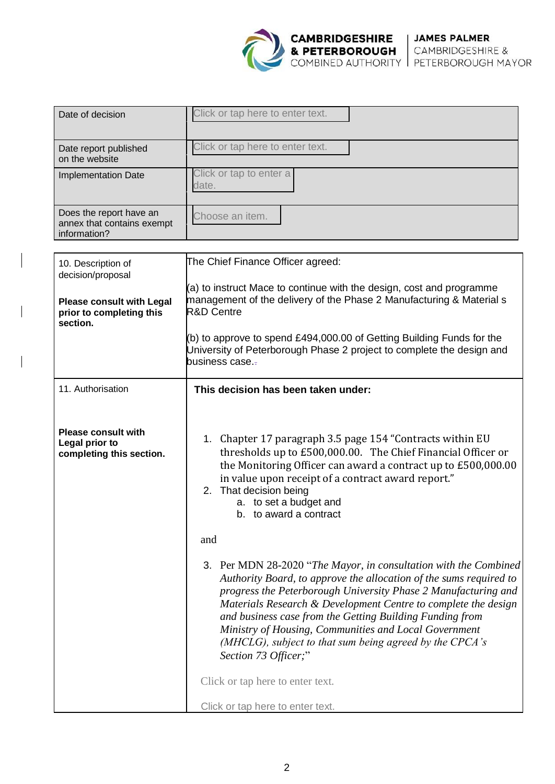

| Date of decision                                                      | Click or tap here to enter text. |
|-----------------------------------------------------------------------|----------------------------------|
| Date report published<br>on the website                               | Click or tap here to enter text. |
| <b>Implementation Date</b>                                            | Click or tap to enter a<br>date. |
| Does the report have an<br>annex that contains exempt<br>information? | Choose an item.                  |

| 10. Description of<br>decision/proposal                                  | The Chief Finance Officer agreed:                                                                                                                                                                                                                                                                                                                                                                                                                                                  |  |  |
|--------------------------------------------------------------------------|------------------------------------------------------------------------------------------------------------------------------------------------------------------------------------------------------------------------------------------------------------------------------------------------------------------------------------------------------------------------------------------------------------------------------------------------------------------------------------|--|--|
| <b>Please consult with Legal</b><br>prior to completing this<br>section. | $(a)$ to instruct Mace to continue with the design, cost and programme<br>management of the delivery of the Phase 2 Manufacturing & Material s<br>R&D Centre<br>(b) to approve to spend £494,000.00 of Getting Building Funds for the                                                                                                                                                                                                                                              |  |  |
|                                                                          | University of Peterborough Phase 2 project to complete the design and<br>business case                                                                                                                                                                                                                                                                                                                                                                                             |  |  |
| 11. Authorisation                                                        | This decision has been taken under:                                                                                                                                                                                                                                                                                                                                                                                                                                                |  |  |
| <b>Please consult with</b><br>Legal prior to<br>completing this section. | 1. Chapter 17 paragraph 3.5 page 154 "Contracts within EU<br>thresholds up to £500,000.00. The Chief Financial Officer or<br>the Monitoring Officer can award a contract up to £500,000.00<br>in value upon receipt of a contract award report."<br>2. That decision being<br>a. to set a budget and<br>b. to award a contract                                                                                                                                                     |  |  |
|                                                                          | and                                                                                                                                                                                                                                                                                                                                                                                                                                                                                |  |  |
|                                                                          | 3. Per MDN 28-2020 "The Mayor, in consultation with the Combined<br>Authority Board, to approve the allocation of the sums required to<br>progress the Peterborough University Phase 2 Manufacturing and<br>Materials Research & Development Centre to complete the design<br>and business case from the Getting Building Funding from<br>Ministry of Housing, Communities and Local Government<br>(MHCLG), subject to that sum being agreed by the CPCA's<br>Section 73 Officer;" |  |  |
|                                                                          | Click or tap here to enter text.                                                                                                                                                                                                                                                                                                                                                                                                                                                   |  |  |
|                                                                          | Click or tap here to enter text.                                                                                                                                                                                                                                                                                                                                                                                                                                                   |  |  |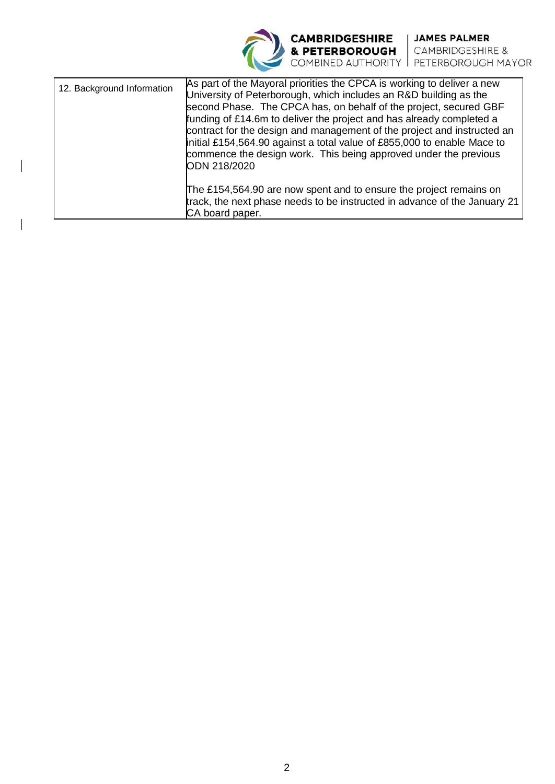**CAMBRIDGESHIRE** JAMES PALMER<br>
& PETERBOROUGH CAMBRIDGESHIRE &<br>
COMBINED AUTHORITY PETERBOROUGH MAYOR

| 12. Background Information | As part of the Mayoral priorities the CPCA is working to deliver a new<br>University of Peterborough, which includes an R&D building as the<br>second Phase. The CPCA has, on behalf of the project, secured GBF<br>funding of £14.6m to deliver the project and has already completed a<br>contract for the design and management of the project and instructed an<br>initial £154,564.90 against a total value of £855,000 to enable Mace to<br>commence the design work. This being approved under the previous<br>ODN 218/2020 |
|----------------------------|------------------------------------------------------------------------------------------------------------------------------------------------------------------------------------------------------------------------------------------------------------------------------------------------------------------------------------------------------------------------------------------------------------------------------------------------------------------------------------------------------------------------------------|
|                            | The £154,564.90 are now spent and to ensure the project remains on<br>track, the next phase needs to be instructed in advance of the January 21<br>CA board paper.                                                                                                                                                                                                                                                                                                                                                                 |

 $\overline{\phantom{a}}$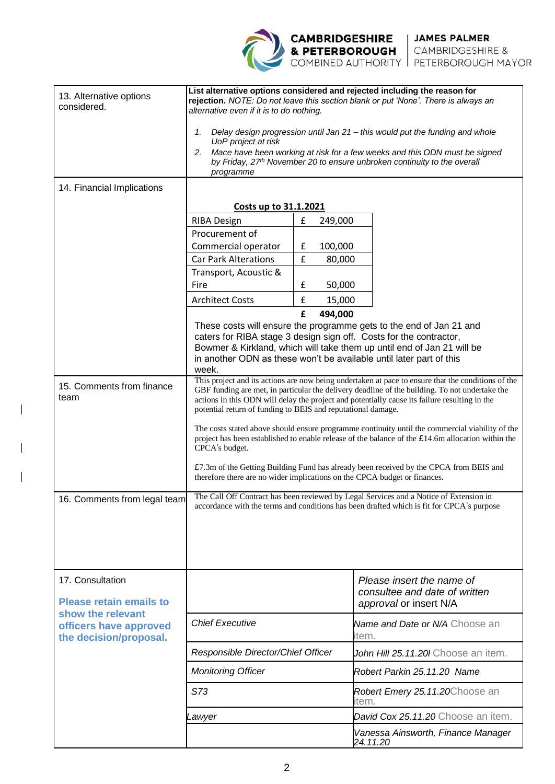**CAMBRIDGESHIRE** JAMES PALMER<br>
& PETERBOROUGH CAMBRIDGESHIRE &<br>
COMBINED AUTHORITY PETERBOROUGH MAYOR

| 13. Alternative options<br>considered.                                                                                      | List alternative options considered and rejected including the reason for<br>rejection. NOTE: Do not leave this section blank or put 'None'. There is always an<br>alternative even if it is to do nothing.                                                                                                                                                           |                               |                                                                                                                                                                                                                                                                                            |  |
|-----------------------------------------------------------------------------------------------------------------------------|-----------------------------------------------------------------------------------------------------------------------------------------------------------------------------------------------------------------------------------------------------------------------------------------------------------------------------------------------------------------------|-------------------------------|--------------------------------------------------------------------------------------------------------------------------------------------------------------------------------------------------------------------------------------------------------------------------------------------|--|
|                                                                                                                             | Delay design progression until Jan 21 – this would put the funding and whole<br>1.<br>UoP project at risk<br>Mace have been working at risk for a few weeks and this ODN must be signed<br>2.<br>by Friday, 27 <sup>th</sup> November 20 to ensure unbroken continuity to the overall<br>programme                                                                    |                               |                                                                                                                                                                                                                                                                                            |  |
| 14. Financial Implications                                                                                                  |                                                                                                                                                                                                                                                                                                                                                                       |                               |                                                                                                                                                                                                                                                                                            |  |
|                                                                                                                             | Costs up to 31.1.2021                                                                                                                                                                                                                                                                                                                                                 |                               |                                                                                                                                                                                                                                                                                            |  |
|                                                                                                                             | <b>RIBA Design</b>                                                                                                                                                                                                                                                                                                                                                    | $\pmb{\mathsf{f}}$<br>249,000 |                                                                                                                                                                                                                                                                                            |  |
|                                                                                                                             | Procurement of                                                                                                                                                                                                                                                                                                                                                        |                               |                                                                                                                                                                                                                                                                                            |  |
|                                                                                                                             | Commercial operator                                                                                                                                                                                                                                                                                                                                                   | £<br>100,000                  |                                                                                                                                                                                                                                                                                            |  |
|                                                                                                                             | <b>Car Park Alterations</b>                                                                                                                                                                                                                                                                                                                                           | £<br>80,000                   |                                                                                                                                                                                                                                                                                            |  |
|                                                                                                                             | Transport, Acoustic &<br>Fire                                                                                                                                                                                                                                                                                                                                         | £<br>50,000                   |                                                                                                                                                                                                                                                                                            |  |
|                                                                                                                             | <b>Architect Costs</b>                                                                                                                                                                                                                                                                                                                                                | $\pmb{\mathsf{f}}$<br>15,000  |                                                                                                                                                                                                                                                                                            |  |
|                                                                                                                             |                                                                                                                                                                                                                                                                                                                                                                       | £<br>494,000                  |                                                                                                                                                                                                                                                                                            |  |
|                                                                                                                             | week.                                                                                                                                                                                                                                                                                                                                                                 |                               | These costs will ensure the programme gets to the end of Jan 21 and<br>caters for RIBA stage 3 design sign off. Costs for the contractor,<br>Bowmer & Kirkland, which will take them up until end of Jan 21 will be<br>in another ODN as these won't be available until later part of this |  |
| 15. Comments from finance<br>team                                                                                           | This project and its actions are now being undertaken at pace to ensure that the conditions of the<br>GBF funding are met, in particular the delivery deadline of the building. To not undertake the<br>actions in this ODN will delay the project and potentially cause its failure resulting in the<br>potential return of funding to BEIS and reputational damage. |                               |                                                                                                                                                                                                                                                                                            |  |
|                                                                                                                             | The costs stated above should ensure programme continuity until the commercial viability of the<br>project has been established to enable release of the balance of the $£14.6m$ allocation within the<br>CPCA's budget.                                                                                                                                              |                               |                                                                                                                                                                                                                                                                                            |  |
|                                                                                                                             | £7.3m of the Getting Building Fund has already been received by the CPCA from BEIS and<br>therefore there are no wider implications on the CPCA budget or finances.                                                                                                                                                                                                   |                               |                                                                                                                                                                                                                                                                                            |  |
| 16. Comments from legal team                                                                                                | The Call Off Contract has been reviewed by Legal Services and a Notice of Extension in<br>accordance with the terms and conditions has been drafted which is fit for CPCA's purpose                                                                                                                                                                                   |                               |                                                                                                                                                                                                                                                                                            |  |
|                                                                                                                             |                                                                                                                                                                                                                                                                                                                                                                       |                               |                                                                                                                                                                                                                                                                                            |  |
|                                                                                                                             |                                                                                                                                                                                                                                                                                                                                                                       |                               |                                                                                                                                                                                                                                                                                            |  |
| 17. Consultation<br><b>Please retain emails to</b><br>show the relevant<br>officers have approved<br>the decision/proposal. |                                                                                                                                                                                                                                                                                                                                                                       |                               | Please insert the name of<br>consultee and date of written<br>approval or insert N/A                                                                                                                                                                                                       |  |
|                                                                                                                             | <b>Chief Executive</b>                                                                                                                                                                                                                                                                                                                                                |                               | Name and Date or N/A Choose an<br>item.                                                                                                                                                                                                                                                    |  |
|                                                                                                                             | Responsible Director/Chief Officer                                                                                                                                                                                                                                                                                                                                    |                               | John Hill 25.11.20 Choose an item.                                                                                                                                                                                                                                                         |  |
|                                                                                                                             | <b>Monitoring Officer</b>                                                                                                                                                                                                                                                                                                                                             |                               | Robert Parkin 25.11.20 Name                                                                                                                                                                                                                                                                |  |
|                                                                                                                             | S73                                                                                                                                                                                                                                                                                                                                                                   |                               | Robert Emery 25.11.20Choose an<br>item.                                                                                                                                                                                                                                                    |  |
|                                                                                                                             | Lawyer                                                                                                                                                                                                                                                                                                                                                                |                               | David Cox 25.11.20 Choose an item.                                                                                                                                                                                                                                                         |  |
|                                                                                                                             |                                                                                                                                                                                                                                                                                                                                                                       |                               | Vanessa Ainsworth, Finance Manager<br>24.11.20                                                                                                                                                                                                                                             |  |

 $\overline{\phantom{a}}$ 

 $\overline{\phantom{a}}$ 

 $\overline{\phantom{a}}$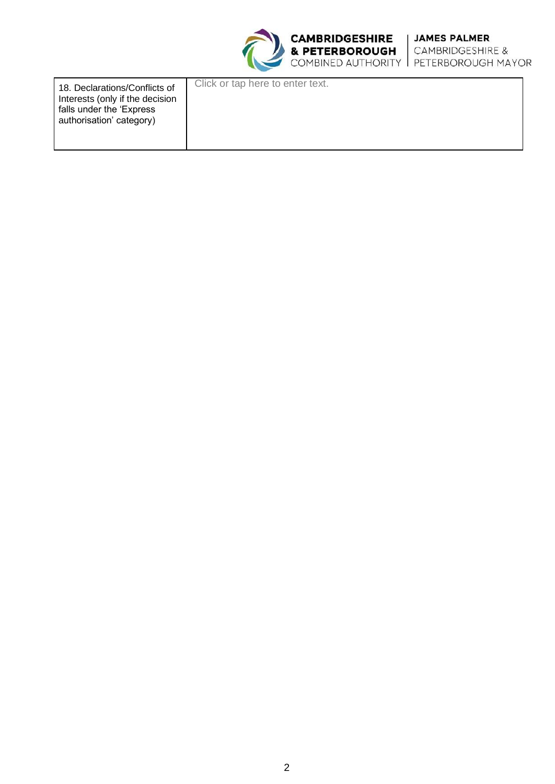

| 18. Declarations/Conflicts of<br>Interests (only if the decision<br>falls under the 'Express'<br>authorisation' category) | Click or tap here to enter text. |
|---------------------------------------------------------------------------------------------------------------------------|----------------------------------|
|                                                                                                                           |                                  |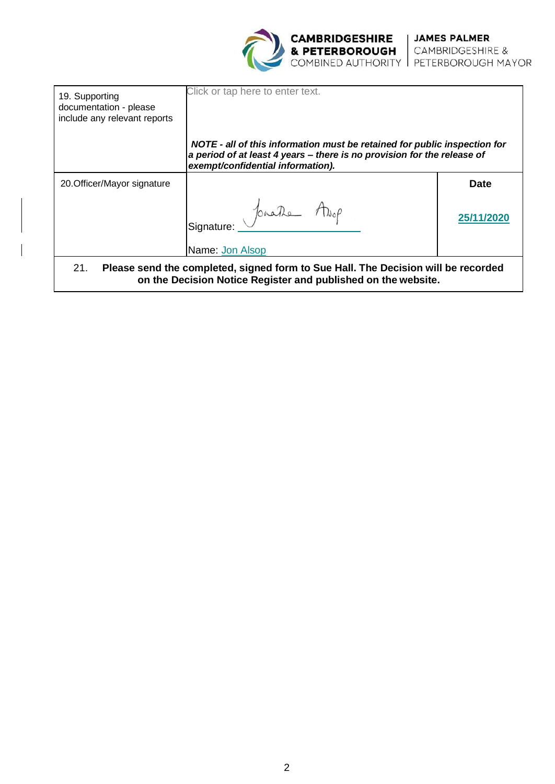

| 19. Supporting<br>documentation - please<br>include any relevant reports                                                                                  | Click or tap here to enter text.                                                                                                                                                          |             |
|-----------------------------------------------------------------------------------------------------------------------------------------------------------|-------------------------------------------------------------------------------------------------------------------------------------------------------------------------------------------|-------------|
|                                                                                                                                                           | NOTE - all of this information must be retained for public inspection for<br>a period of at least 4 years - there is no provision for the release of<br>exempt/confidential information). |             |
| 20. Officer/Mayor signature                                                                                                                               |                                                                                                                                                                                           | <b>Date</b> |
|                                                                                                                                                           | Signature: Jonathe Alop<br>Name: Jon Alsop                                                                                                                                                | 25/11/202   |
| 21.<br>Please send the completed, signed form to Sue Hall. The Decision will be recorded<br>on the Decision Notice Register and published on the website. |                                                                                                                                                                                           |             |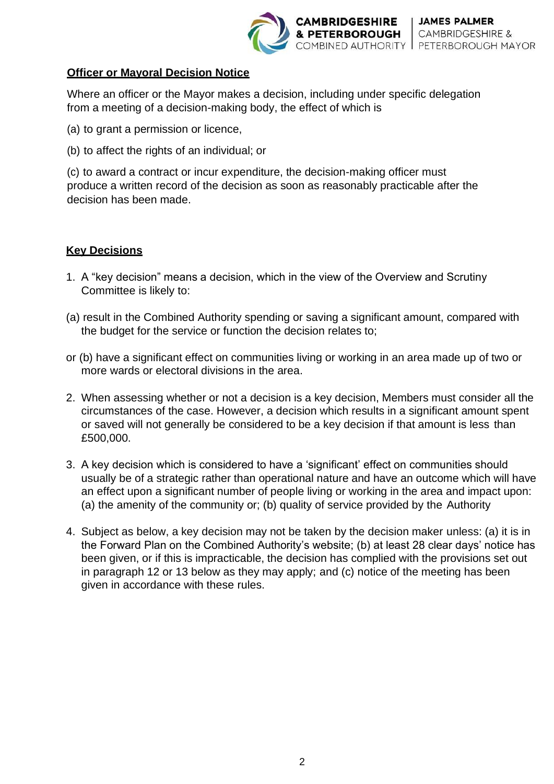

#### **Officer or Mayoral Decision Notice**

Where an officer or the Mayor makes a decision, including under specific delegation from a meeting of a decision-making body, the effect of which is

- (a) to grant a permission or licence,
- (b) to affect the rights of an individual; or

(c) to award a contract or incur expenditure, the decision-making officer must produce a written record of the decision as soon as reasonably practicable after the decision has been made.

## **Key Decisions**

- 1. A "key decision" means a decision, which in the view of the Overview and Scrutiny Committee is likely to:
- (a) result in the Combined Authority spending or saving a significant amount, compared with the budget for the service or function the decision relates to;
- or (b) have a significant effect on communities living or working in an area made up of two or more wards or electoral divisions in the area.
- 2. When assessing whether or not a decision is a key decision, Members must consider all the circumstances of the case. However, a decision which results in a significant amount spent or saved will not generally be considered to be a key decision if that amount is less than £500,000.
- 3. A key decision which is considered to have a 'significant' effect on communities should usually be of a strategic rather than operational nature and have an outcome which will have an effect upon a significant number of people living or working in the area and impact upon: (a) the amenity of the community or; (b) quality of service provided by the Authority
- 4. Subject as below, a key decision may not be taken by the decision maker unless: (a) it is in the Forward Plan on the Combined Authority's website; (b) at least 28 clear days' notice has been given, or if this is impracticable, the decision has complied with the provisions set out in paragraph 12 or 13 below as they may apply; and (c) notice of the meeting has been given in accordance with these rules.